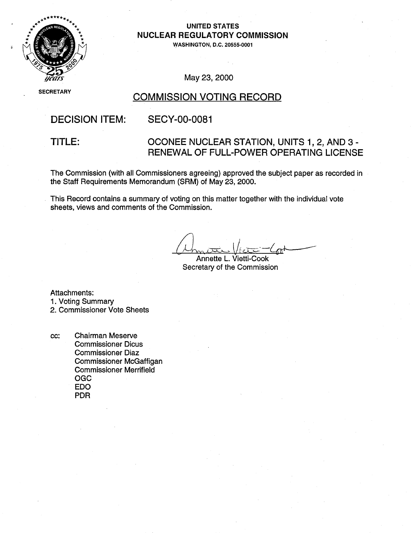

### UNITED **STATES**  NUCLEAR REGULATORY COMMISSION

**WASHINGTON, D.C. 20555-0001** 

### May 23, 2000

# **SECRETARY COMMISSION VOTING RECORD**

## DECISION ITEM: SECY-00-0081

### TITLE: OCONEE NUCLEAR STATION, UNITS 1, 2, AND 3 -RENEWAL OF FULL-POWER OPERATING LICENSE

The Commission (with all Commissioners agreeing) approved the subject paper as recorded in the Staff Requirements Memorandum (SRM) of May 23, 2000.

This Record contains a summary of voting on this matter together with the individual vote sheets, views and comments of the Commission.

Annette L. Vietti-Cook Secretary of the Commission

Attachments:

- 1. Voting Summary
- 2. Commissioner Vote Sheets
- cc: Chairman Meserve Commissioner Dicus Commissioner Diaz Commissioner McGaffigan Commissioner Merrifield OGC EDO PDR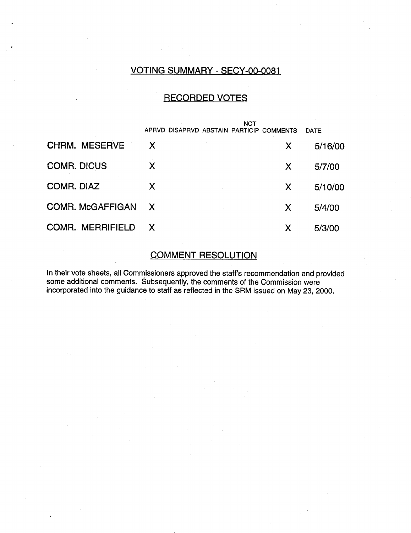### VOTING SUMMARY - SECY-00-0081

### RECORDED VOTES

|                         | NOT          |                                          |   |             |
|-------------------------|--------------|------------------------------------------|---|-------------|
|                         |              | APRVD DISAPRVD ABSTAIN PARTICIP COMMENTS |   | <b>DATE</b> |
| <b>CHRM. MESERVE</b>    | X            |                                          | X | 5/16/00     |
| <b>COMR. DICUS</b>      | X            |                                          | X | 5/7/00      |
| COMR. DIAZ              | X            |                                          | X | 5/10/00     |
| <b>COMR. McGAFFIGAN</b> | $\mathsf{X}$ |                                          | X | 5/4/00      |
| <b>COMR. MERRIFIELD</b> | X            |                                          | Х | 5/3/00      |

### COMMENT RESOLUTION

In their vote sheets, all Commissioners approved the staff's recommendation and provided some additional comments. Subsequently, the comments of the Commission were incorporated into the guidance to staff as reflected in the SRM issued on May 23, 2000.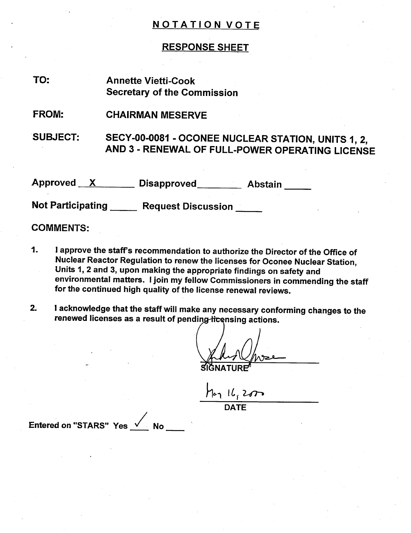### RESPONSE SHEET

| TO:                      | <b>Annette Vietti-Cook</b><br><b>Secretary of the Commission</b>                                      |
|--------------------------|-------------------------------------------------------------------------------------------------------|
| <b>FROM:</b>             | <b>CHAIRMAN MESERVE</b>                                                                               |
| <b>SUBJECT:</b>          | SECY-00-0081 - OCONEE NUCLEAR STATION, UNITS 1, 2,<br>AND 3 - RENEWAL OF FULL-POWER OPERATING LICENSE |
| Approved X               | Disapproved____________ Abstain                                                                       |
| <b>Not Participating</b> | <b>Request Discussion</b>                                                                             |

### COMMENTS:

- 1. **1** approve the staff's recommendation to authorize the Director of the Office of Nuclear Reactor Regulation to renew the licenses for Oconee Nuclear Station, Units 1, 2 and 3, upon making the appropriate findings on safety and environmental matters. I join my fellow Commissioners in commending the staff for the continued high quality of the license renewal reviews.
- 2. **1** acknowledge that the staff will make any necessary conforming changes to the renewed licenses as a result of pending-licensing actions.

TURE"

 $H_{21}$   $H_{1}$  2000 **DATE** 

Entered on "STARS" Yes  $\sqrt{N}$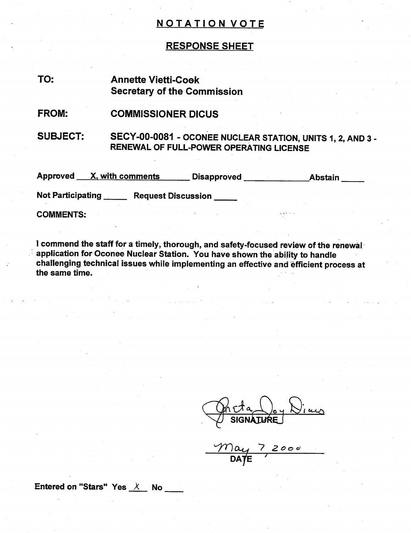### RESPONSE SHEET

### Annette Vietti-Coek Secretary of the Commission TO:

#### COMMISSIONER DICUS FROM:

SUBJECT: SECY-00-0081 - OCONEE NUCLEAR STATION, UNITS 1, 2, AND 3 -RENEWAL OF FULL-POWER OPERATING LICENSE

Approved X, with comments Disapproved Abstain

Not Participating Request Discussion

COMMENTS:

**I** commend the staff for a timely, thorough, and safety-focused review of the renewal application for Oconee Nuclear Station. You have shown the ability to handle challenging technical issues while implementing an effective and efficient process at the same time.

SIGNATURE

*7,oc*

Entered on "Stars" Yes  $X$  No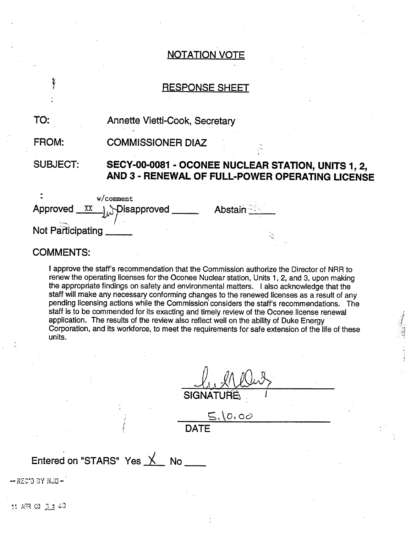# RESPONSE SHEET

| TO:                                 | Annette Vietti-Cook, Secretary                                                                        |  |
|-------------------------------------|-------------------------------------------------------------------------------------------------------|--|
| FROM:                               | <b>COMMISSIONER DIAZ</b>                                                                              |  |
| <b>SUBJECT:</b>                     | SECY-00-0081 - OCONEE NUCLEAR STATION, UNITS 1, 2,<br>AND 3 - RENEWAL OF FULL-POWER OPERATING LICENSE |  |
| Approved<br>XX<br>Not Participating | $w$ /comment<br><b>Abstain</b><br><b>A</b> Disapproved                                                |  |

### COMMENTS:

*f*

**I** approve the staff's recommendation that the Commission authorize the Director of NRR to renew the operating licenses for the Oconee Nuclear station, Units 1, 2, and 3, upon making the appropriate findings on safety and environmental matters. I also acknowledge that the staff will make any necessary conforming changes to the renewed licenses as a result of any pending licensing actions while the Commission' considers the staff's recommendations. The staff is to be commended for its exacting and timely review of the Oconee license renewal application. The results of the review also reflect well on the ability of Duke Energy Corporation, and its workforce, to meet the requirements for safe extension of the life of these units.

**A? SIGNATURE** 

:1

 $5,10.00$ **DATE** 

# Entered on "STARS" Yes \_X\_\_ No

- REC'D 3Y NJD -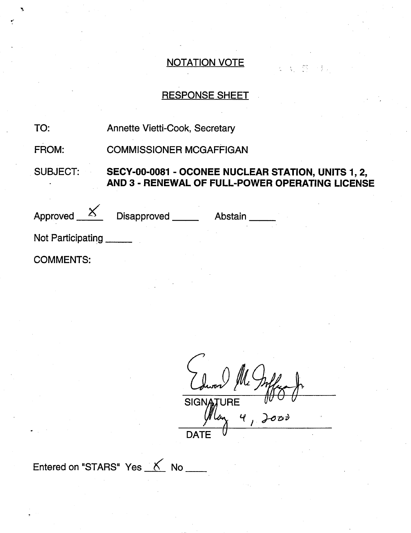$\mathcal{L}_{\rm{max}}$  , and  $\mathcal{L}_{\rm{max}}$ 

## RESPONSE SHEET

TO: Annette Vietti-Cook, Secretary

FROM: COMMISSIONER MCGAFFIGAN

SUBJECT: **SECY-00-0081** - **OCONEE NUCLEAR STATION, UNITS 1, 2, AND 3 -** RENEWAL OF FULL-POWER OPERATING **LICENSE**

Approved <u>Come</u> Disapproved Abstair Not Participating \_\_\_\_\_\_

COMMENTS:

*j A* 4,4,SIGNA **URE**  $\mathbf{r}$ つひり **DATE** 

Entered on "STARS" Yes K No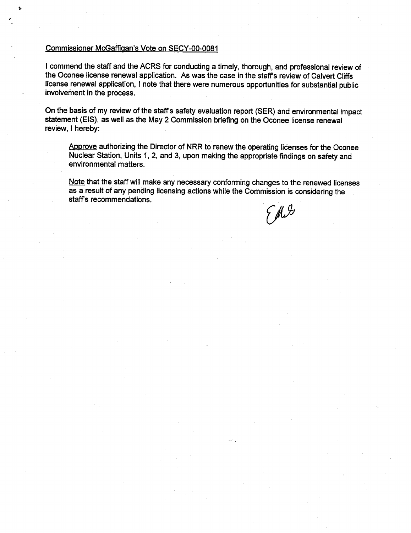### Commissioner McGaffiqan's Vote on SECY-00-0081

I commend the staff and the ACRS for conducting a timely, thorough, and professional review of the Oconee license renewal application. As was the case in the staff's review of Calvert Cliffs license renewal application, I note that there were numerous opportunities for substantial public involvement in the process.

On the basis of my review of the staff's safety evaluation report (SER) and environmental impact statement (EIS), as well as the May 2 Commission briefing on the Oconee license renewal review, I hereby:

Approve authorizing the Director of NRR to renew the operating licenses for the Oconee Nuclear Station, Units 1, 2, and 3, upon making the appropriate findings on safety and environmental matters.

Note that the staff will make any necessary conforming changes to the renewed licenses as a result of any pending licensing actions while the Commission is considering the staffs recommendations.

**EMI**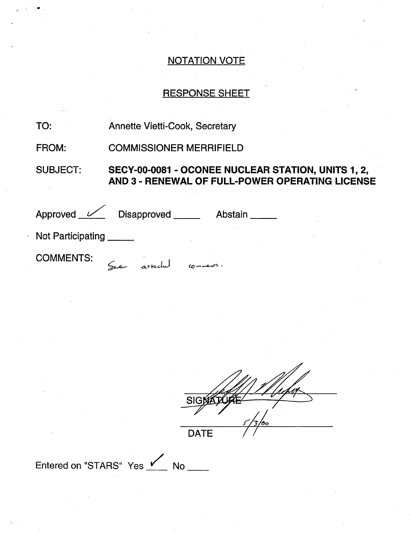# RESPONSE SHEET

| TO:               | <b>Annette Vietti-Cook, Secretary</b>                                                                 |
|-------------------|-------------------------------------------------------------------------------------------------------|
| FROM:             | <b>COMMISSIONER MERRIFIELD</b>                                                                        |
| <b>SUBJECT:</b>   | SECY-00-0081 - OCONEE NUCLEAR STATION, UNITS 1, 2,<br>AND 3 - RENEWAL OF FULL-POWER OPERATING LICENSE |
|                   | Approved <u>V</u> Disapproved Abstain                                                                 |
| Not Participating |                                                                                                       |
| <b>COMMENTS:</b>  | See attached                                                                                          |

| <b>SIG</b>  |    |
|-------------|----|
|             | OО |
| <b>DATE</b> |    |

Entered on "STARS" Yes / No \_\_\_

4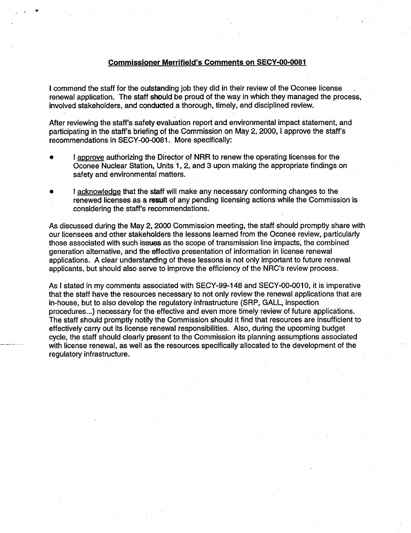### Commissioner Merrifield's Comments on **SECY-O0-0081**

I commend the staff for the outstanding job they did in their review of the Oconee license renewal application. The staff should be proud of the way in which they managed the process, involved stakeholders, and conducted a thorough, timely, and disciplined review.

After reviewing the staff's safety evaluation report and environmental impact statement, and participating in the staff's briefing of the Commission on May 2, 2000, I approve the staff's recommendations in SECY-00-0081. More specifically:

- I approve authorizing the Director of NRR to renew the operating licenses for the Oconee Nuclear Station, Units 1, 2, and 3 upon making the appropriate findings on safety and environmental matters.
- I acknowledge that the staff will make any necessary conforming changes to the renewed licenses as a result of any pending licensing actions while the Commission is considering the staff's recommendations.

As discussed during the May 2, 2000 Commission meeting, the staff should promptly share with our licensees and other stakeholders the lessons learned from the Oconee review, particularly those associated with such issues as the scope of transmission line impacts, the combined generation alternative, and the effective presentation of information in license renewal applications. A clear understanding of these lessons is not only important to future renewal applicants, but should also serve to improve the efficiency of the NRC's review process.

As I stated in my comments associated with SECY-99-148 and SECY-00-0010, it is imperative that the staff have the resources necessary to not only review the renewal applications that are in-house, but to also develop the regulatory infrastructure (SRP, GALL, inspection procedures...) necessary for the effective and even more timely review of future applications. The staff should promptly notify the Commission should it find that resources are insufficient to effectively carry out its license renewal responsibilities. Also, during the upcoming budget cycle, the staff should clearly present to the Commission its planning assumptions associated with license renewal, as well as the resources specifically allocated to the development of the regulatory infrastructure.